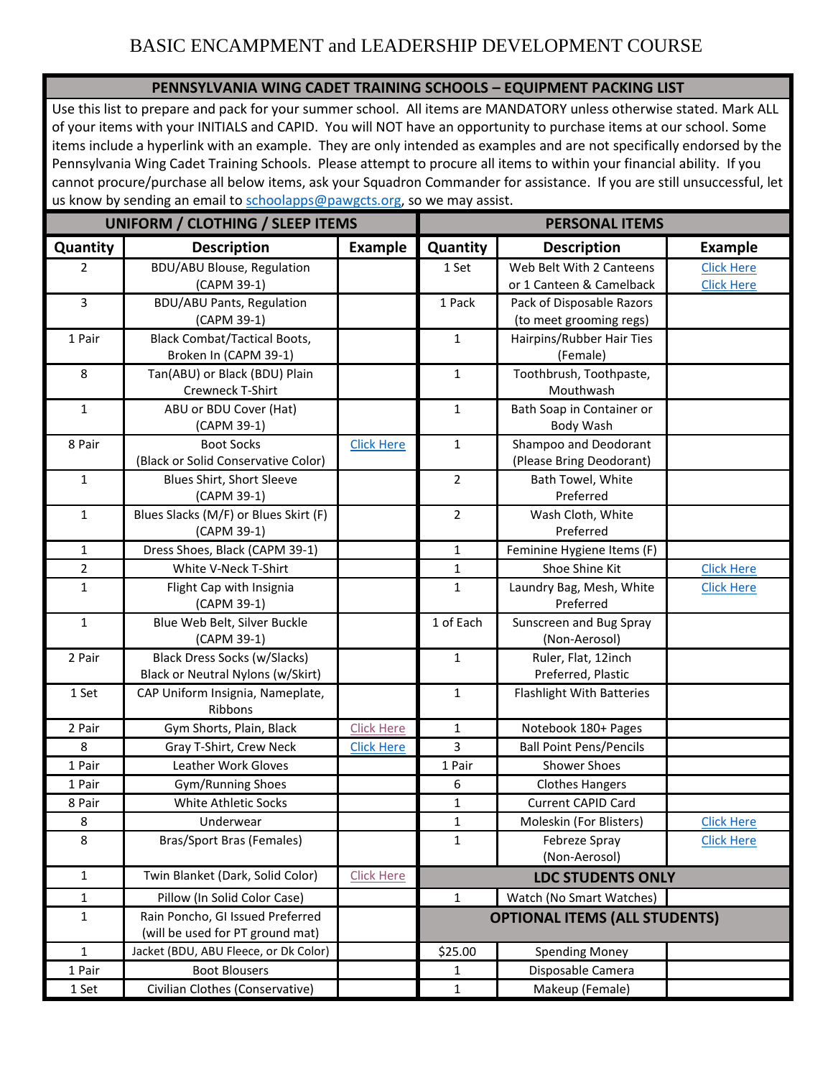## BASIC ENCAMPMENT and LEADERSHIP DEVELOPMENT COURSE

### **PENNSYLVANIA WING CADET TRAINING SCHOOLS – EQUIPMENT PACKING LIST**

Use this list to prepare and pack for your summer school. All items are MANDATORY unless otherwise stated. Mark ALL of your items with your INITIALS and CAPID. You will NOT have an opportunity to purchase items at our school. Some items include a hyperlink with an example. They are only intended as examples and are not specifically endorsed by the Pennsylvania Wing Cadet Training Schools. Please attempt to procure all items to within your financial ability. If you cannot procure/purchase all below items, ask your Squadron Commander for assistance. If you are still unsuccessful, let us know by sending an email to [schoolapps@pawgcts.org,](mailto:schoolapps@pawgcts.org) so we may assist.

| UNIFORM / CLOTHING / SLEEP ITEMS |                                                      |                   | <b>PERSONAL ITEMS</b>                |                                                      |                   |
|----------------------------------|------------------------------------------------------|-------------------|--------------------------------------|------------------------------------------------------|-------------------|
| Quantity                         | <b>Description</b>                                   | <b>Example</b>    | Quantity                             | <b>Description</b>                                   | <b>Example</b>    |
| $\overline{2}$                   | <b>BDU/ABU Blouse, Regulation</b><br>(CAPM 39-1)     |                   | 1 Set                                | Web Belt With 2 Canteens<br>or 1 Canteen & Camelback | <b>Click Here</b> |
| $\overline{3}$                   |                                                      |                   | 1 Pack                               | Pack of Disposable Razors                            | <b>Click Here</b> |
|                                  | <b>BDU/ABU Pants, Regulation</b><br>(CAPM 39-1)      |                   |                                      | (to meet grooming regs)                              |                   |
| 1 Pair                           | <b>Black Combat/Tactical Boots,</b>                  |                   | $\mathbf{1}$                         | Hairpins/Rubber Hair Ties                            |                   |
|                                  | Broken In (CAPM 39-1)                                |                   |                                      | (Female)                                             |                   |
| 8                                | Tan(ABU) or Black (BDU) Plain                        |                   | $\mathbf{1}$                         | Toothbrush, Toothpaste,                              |                   |
|                                  | Crewneck T-Shirt                                     |                   |                                      | Mouthwash                                            |                   |
| $\mathbf{1}$                     | ABU or BDU Cover (Hat)                               |                   | $\mathbf{1}$                         | Bath Soap in Container or                            |                   |
|                                  | (CAPM 39-1)                                          |                   |                                      | Body Wash                                            |                   |
| 8 Pair                           | <b>Boot Socks</b>                                    | <b>Click Here</b> | $\mathbf{1}$                         | Shampoo and Deodorant                                |                   |
|                                  | (Black or Solid Conservative Color)                  |                   |                                      | (Please Bring Deodorant)                             |                   |
| $\mathbf{1}$                     | Blues Shirt, Short Sleeve                            |                   | $\overline{2}$                       | Bath Towel, White                                    |                   |
|                                  | (CAPM 39-1)                                          |                   |                                      | Preferred                                            |                   |
| $\mathbf{1}$                     | Blues Slacks (M/F) or Blues Skirt (F)<br>(CAPM 39-1) |                   | 2                                    | Wash Cloth, White<br>Preferred                       |                   |
| $\mathbf{1}$                     | Dress Shoes, Black (CAPM 39-1)                       |                   | $\mathbf{1}$                         | Feminine Hygiene Items (F)                           |                   |
| $\overline{2}$                   | White V-Neck T-Shirt                                 |                   | $\mathbf{1}$                         | Shoe Shine Kit                                       | <b>Click Here</b> |
| $\mathbf{1}$                     | Flight Cap with Insignia                             |                   | 1                                    | Laundry Bag, Mesh, White                             | <b>Click Here</b> |
|                                  | (CAPM 39-1)                                          |                   |                                      | Preferred                                            |                   |
| $\mathbf{1}$                     | Blue Web Belt, Silver Buckle<br>(CAPM 39-1)          |                   | 1 of Each                            | Sunscreen and Bug Spray<br>(Non-Aerosol)             |                   |
| 2 Pair                           | <b>Black Dress Socks (w/Slacks)</b>                  |                   | $\mathbf{1}$                         | Ruler, Flat, 12inch                                  |                   |
|                                  | Black or Neutral Nylons (w/Skirt)                    |                   |                                      | Preferred, Plastic                                   |                   |
| 1 Set                            | CAP Uniform Insignia, Nameplate,<br>Ribbons          |                   | $\mathbf{1}$                         | Flashlight With Batteries                            |                   |
| 2 Pair                           | Gym Shorts, Plain, Black                             | <b>Click Here</b> | 1                                    | Notebook 180+ Pages                                  |                   |
| 8                                | Gray T-Shirt, Crew Neck                              | <b>Click Here</b> | 3                                    | <b>Ball Point Pens/Pencils</b>                       |                   |
| 1 Pair                           | <b>Leather Work Gloves</b>                           |                   | 1 Pair                               | <b>Shower Shoes</b>                                  |                   |
| 1 Pair                           | Gym/Running Shoes                                    |                   | 6                                    | <b>Clothes Hangers</b>                               |                   |
| 8 Pair                           | White Athletic Socks                                 |                   | $\mathbf{1}$                         | <b>Current CAPID Card</b>                            |                   |
| 8                                | Underwear                                            |                   | $\mathbf{1}$                         | Moleskin (For Blisters)                              | <b>Click Here</b> |
| 8                                | Bras/Sport Bras (Females)                            |                   | 1                                    | Febreze Spray<br>(Non-Aerosol)                       | <b>Click Here</b> |
| $\mathbf{1}$                     | Twin Blanket (Dark, Solid Color)                     | <b>Click Here</b> |                                      | <b>LDC STUDENTS ONLY</b>                             |                   |
| $\mathbf{1}$                     | Pillow (In Solid Color Case)                         |                   | 1                                    | Watch (No Smart Watches)                             |                   |
| $\mathbf 1$                      | Rain Poncho, GI Issued Preferred                     |                   | <b>OPTIONAL ITEMS (ALL STUDENTS)</b> |                                                      |                   |
|                                  | (will be used for PT ground mat)                     |                   |                                      |                                                      |                   |
| $\mathbf{1}$                     | Jacket (BDU, ABU Fleece, or Dk Color)                |                   | \$25.00                              | <b>Spending Money</b>                                |                   |
| 1 Pair                           | <b>Boot Blousers</b>                                 |                   | 1                                    | Disposable Camera                                    |                   |
| 1 Set                            | Civilian Clothes (Conservative)                      |                   | $\mathbf{1}$                         | Makeup (Female)                                      |                   |